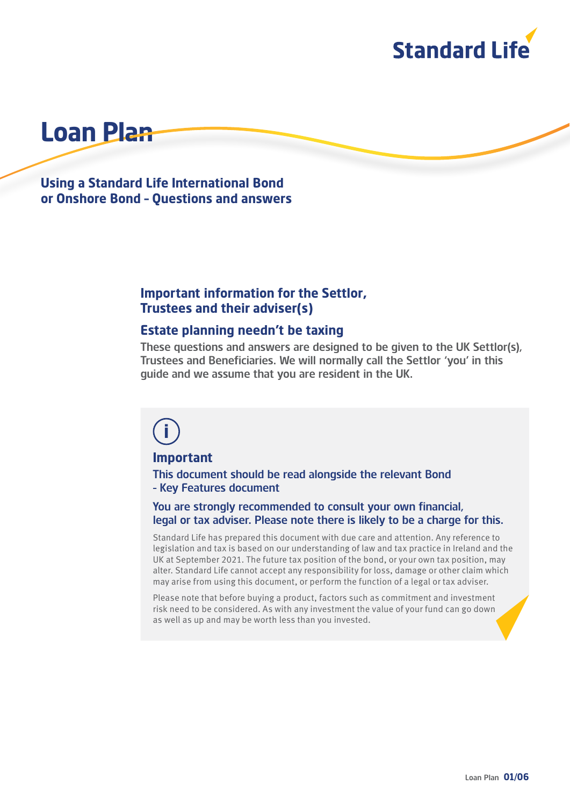

# **Loan Plan**

**Using a Standard Life International Bond or Onshore Bond – Questions and answers**

## **Important information for the Settlor, Trustees and their adviser(s)**

## **Estate planning needn't be taxing**

These questions and answers are designed to be given to the UK Settlor(s), Trustees and Beneficiaries. We will normally call the Settlor 'you' in this guide and we assume that you are resident in the UK.

# **i**

#### **Important**

This document should be read alongside the relevant Bond – Key Features document

#### You are strongly recommended to consult your own financial, legal or tax adviser. Please note there is likely to be a charge for this.

Standard Life has prepared this document with due care and attention. Any reference to legislation and tax is based on our understanding of law and tax practice in Ireland and the UK at September 2021. The future tax position of the bond, or your own tax position, may alter. Standard Life cannot accept any responsibility for loss, damage or other claim which may arise from using this document, or perform the function of a legal or tax adviser.

Please note that before buying a product, factors such as commitment and investment risk need to be considered. As with any investment the value of your fund can go down as well as up and may be worth less than you invested.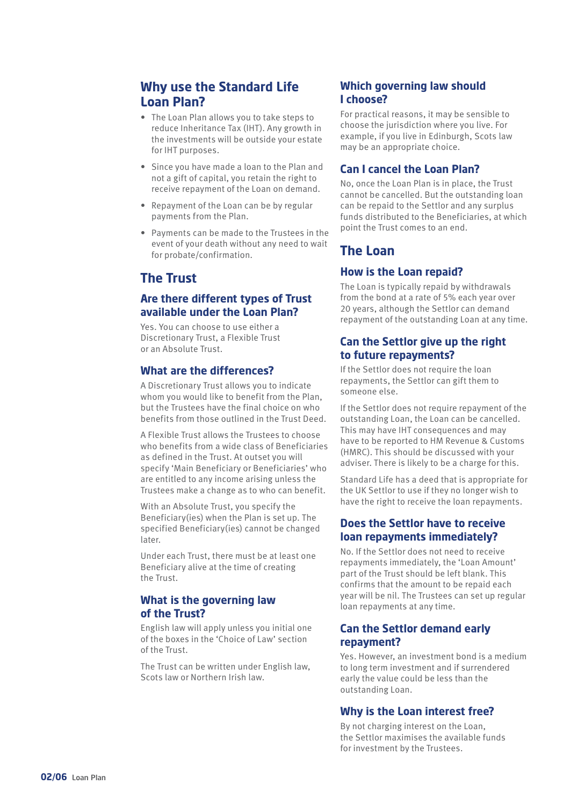# **Why use the Standard Life Loan Plan?**

- The Loan Plan allows you to take steps to reduce Inheritance Tax (IHT). Any growth in the investments will be outside your estate for IHT purposes.
- Since you have made a loan to the Plan and not a gift of capital, you retain the right to receive repayment of the Loan on demand.
- Repayment of the Loan can be by regular payments from the Plan.
- Payments can be made to the Trustees in the event of your death without any need to wait for probate/confirmation.

## **The Trust**

## **Are there different types of Trust available under the Loan Plan?**

Yes. You can choose to use either a Discretionary Trust, a Flexible Trust or an Absolute Trust.

#### **What are the differences?**

A Discretionary Trust allows you to indicate whom you would like to benefit from the Plan, but the Trustees have the final choice on who benefits from those outlined in the Trust Deed.

A Flexible Trust allows the Trustees to choose who benefits from a wide class of Beneficiaries as defined in the Trust. At outset you will specify 'Main Beneficiary or Beneficiaries' who are entitled to any income arising unless the Trustees make a change as to who can benefit.

With an Absolute Trust, you specify the Beneficiary(ies) when the Plan is set up. The specified Beneficiary(ies) cannot be changed later.

Under each Trust, there must be at least one Beneficiary alive at the time of creating the Trust.

#### **What is the governing law of the Trust?**

English law will apply unless you initial one of the boxes in the 'Choice of Law' section of the Trust.

The Trust can be written under English law, Scots law or Northern Irish law.

#### **Which governing law should I choose?**

For practical reasons, it may be sensible to choose the jurisdiction where you live. For example, if you live in Edinburgh, Scots law may be an appropriate choice.

#### **Can I cancel the Loan Plan?**

No, once the Loan Plan is in place, the Trust cannot be cancelled. But the outstanding loan can be repaid to the Settlor and any surplus funds distributed to the Beneficiaries, at which point the Trust comes to an end.

## **The Loan**

#### **How is the Loan repaid?**

The Loan is typically repaid by withdrawals from the bond at a rate of 5% each year over 20 years, although the Settlor can demand repayment of the outstanding Loan at any time.

#### **Can the Settlor give up the right to future repayments?**

If the Settlor does not require the loan repayments, the Settlor can gift them to someone else.

If the Settlor does not require repayment of the outstanding Loan, the Loan can be cancelled. This may have IHT consequences and may have to be reported to HM Revenue & Customs (HMRC). This should be discussed with your adviser. There is likely to be a charge for this.

Standard Life has a deed that is appropriate for the UK Settlor to use if they no longer wish to have the right to receive the loan repayments.

## **Does the Settlor have to receive loan repayments immediately?**

No. If the Settlor does not need to receive repayments immediately, the 'Loan Amount' part of the Trust should be left blank. This confirms that the amount to be repaid each year will be nil. The Trustees can set up regular loan repayments at any time.

#### **Can the Settlor demand early repayment?**

Yes. However, an investment bond is a medium to long term investment and if surrendered early the value could be less than the outstanding Loan.

#### **Why is the Loan interest free?**

By not charging interest on the Loan, the Settlor maximises the available funds for investment by the Trustees.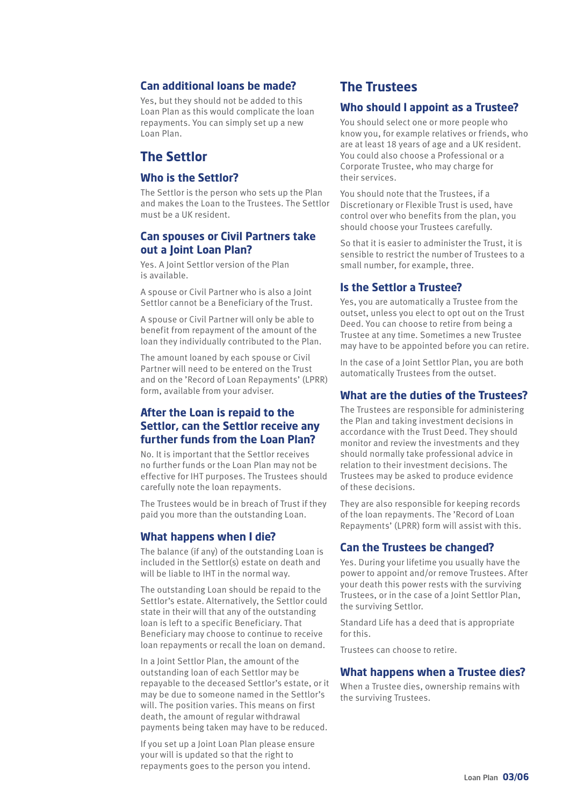#### **Can additional loans be made?**

Yes, but they should not be added to this Loan Plan as this would complicate the loan repayments. You can simply set up a new Loan Plan.

## **The Settlor**

#### **Who is the Settlor?**

The Settlor is the person who sets up the Plan and makes the Loan to the Trustees. The Settlor must be a UK resident.

#### **Can spouses or Civil Partners take out a Joint Loan Plan?**

Yes. A Joint Settlor version of the Plan is available.

A spouse or Civil Partner who is also a Joint Settlor cannot be a Beneficiary of the Trust.

A spouse or Civil Partner will only be able to benefit from repayment of the amount of the loan they individually contributed to the Plan.

The amount loaned by each spouse or Civil Partner will need to be entered on the Trust and on the 'Record of Loan Repayments' (LPRR) form, available from your adviser.

#### **After the Loan is repaid to the Settlor, can the Settlor receive any further funds from the Loan Plan?**

No. It is important that the Settlor receives no further funds or the Loan Plan may not be effective for IHT purposes. The Trustees should carefully note the loan repayments.

The Trustees would be in breach of Trust if they paid you more than the outstanding Loan.

#### **What happens when I die?**

The balance (if any) of the outstanding Loan is included in the Settlor(s) estate on death and will be liable to IHT in the normal way.

The outstanding Loan should be repaid to the Settlor's estate. Alternatively, the Settlor could state in their will that any of the outstanding loan is left to a specific Beneficiary. That Beneficiary may choose to continue to receive loan repayments or recall the loan on demand.

In a Joint Settlor Plan, the amount of the outstanding loan of each Settlor may be repayable to the deceased Settlor's estate, or it may be due to someone named in the Settlor's will. The position varies. This means on first death, the amount of regular withdrawal payments being taken may have to be reduced.

If you set up a Joint Loan Plan please ensure your will is updated so that the right to repayments goes to the person you intend.

## **The Trustees**

#### **Who should I appoint as a Trustee?**

You should select one or more people who know you, for example relatives or friends, who are at least 18 years of age and a UK resident. You could also choose a Professional or a Corporate Trustee, who may charge for their services.

You should note that the Trustees, if a Discretionary or Flexible Trust is used, have control over who benefits from the plan, you should choose your Trustees carefully.

So that it is easier to administer the Trust, it is sensible to restrict the number of Trustees to a small number, for example, three.

#### **Is the Settlor a Trustee?**

Yes, you are automatically a Trustee from the outset, unless you elect to opt out on the Trust Deed. You can choose to retire from being a Trustee at any time. Sometimes a new Trustee may have to be appointed before you can retire.

In the case of a Joint Settlor Plan, you are both automatically Trustees from the outset.

#### **What are the duties of the Trustees?**

The Trustees are responsible for administering the Plan and taking investment decisions in accordance with the Trust Deed. They should monitor and review the investments and they should normally take professional advice in relation to their investment decisions. The Trustees may be asked to produce evidence of these decisions.

They are also responsible for keeping records of the loan repayments. The 'Record of Loan Repayments' (LPRR) form will assist with this.

#### **Can the Trustees be changed?**

Yes. During your lifetime you usually have the power to appoint and/or remove Trustees. After your death this power rests with the surviving Trustees, or in the case of a Joint Settlor Plan, the surviving Settlor.

Standard Life has a deed that is appropriate for this.

Trustees can choose to retire.

#### **What happens when a Trustee dies?**

When a Trustee dies, ownership remains with the surviving Trustees.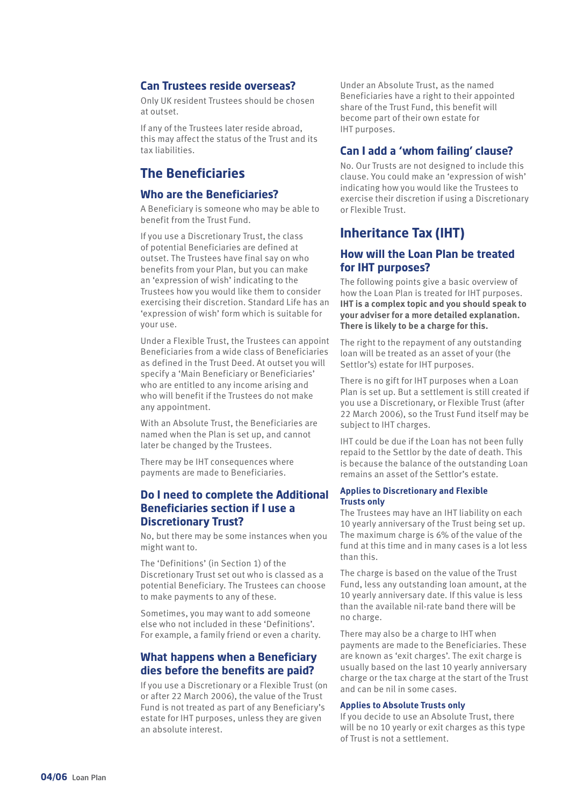#### **Can Trustees reside overseas?**

Only UK resident Trustees should be chosen at outset.

If any of the Trustees later reside abroad, this may affect the status of the Trust and its tax liabilities.

## **The Beneficiaries**

#### **Who are the Beneficiaries?**

A Beneficiary is someone who may be able to benefit from the Trust Fund.

If you use a Discretionary Trust, the class of potential Beneficiaries are defined at outset. The Trustees have final say on who benefits from your Plan, but you can make an 'expression of wish' indicating to the Trustees how you would like them to consider exercising their discretion. Standard Life has an 'expression of wish' form which is suitable for your use.

Under a Flexible Trust, the Trustees can appoint Beneficiaries from a wide class of Beneficiaries as defined in the Trust Deed. At outset you will specify a 'Main Beneficiary or Beneficiaries' who are entitled to any income arising and who will benefit if the Trustees do not make any appointment.

With an Absolute Trust, the Beneficiaries are named when the Plan is set up, and cannot later be changed by the Trustees.

There may be IHT consequences where payments are made to Beneficiaries.

#### **Do I need to complete the Additional Beneficiaries section if I use a Discretionary Trust?**

No, but there may be some instances when you might want to.

The 'Definitions' (in Section 1) of the Discretionary Trust set out who is classed as a potential Beneficiary. The Trustees can choose to make payments to any of these.

Sometimes, you may want to add someone else who not included in these 'Definitions'. For example, a family friend or even a charity.

#### **What happens when a Beneficiary dies before the benefits are paid?**

If you use a Discretionary or a Flexible Trust (on or after 22 March 2006), the value of the Trust Fund is not treated as part of any Beneficiary's estate for IHT purposes, unless they are given an absolute interest.

Under an Absolute Trust, as the named Beneficiaries have a right to their appointed share of the Trust Fund, this benefit will become part of their own estate for IHT purposes.

#### **Can I add a 'whom failing' clause?**

No. Our Trusts are not designed to include this clause. You could make an 'expression of wish' indicating how you would like the Trustees to exercise their discretion if using a Discretionary or Flexible Trust.

## **Inheritance Tax (IHT)**

#### **How will the Loan Plan be treated for IHT purposes?**

The following points give a basic overview of how the Loan Plan is treated for IHT purposes. **IHT is a complex topic and you should speak to your adviser for a more detailed explanation. There is likely to be a charge for this.**

The right to the repayment of any outstanding loan will be treated as an asset of your (the Settlor's) estate for IHT purposes.

There is no gift for IHT purposes when a Loan Plan is set up. But a settlement is still created if you use a Discretionary, or Flexible Trust (after 22 March 2006), so the Trust Fund itself may be subject to IHT charges.

IHT could be due if the Loan has not been fully repaid to the Settlor by the date of death. This is because the balance of the outstanding Loan remains an asset of the Settlor's estate.

#### **Applies to Discretionary and Flexible Trusts only**

The Trustees may have an IHT liability on each 10 yearly anniversary of the Trust being set up. The maximum charge is 6% of the value of the fund at this time and in many cases is a lot less than this.

The charge is based on the value of the Trust Fund, less any outstanding loan amount, at the 10 yearly anniversary date. If this value is less than the available nil‑rate band there will be no charge.

There may also be a charge to IHT when payments are made to the Beneficiaries. These are known as 'exit charges'. The exit charge is usually based on the last 10 yearly anniversary charge or the tax charge at the start of the Trust and can be nil in some cases.

#### **Applies to Absolute Trusts only**

If you decide to use an Absolute Trust, there will be no 10 yearly or exit charges as this type of Trust is not a settlement.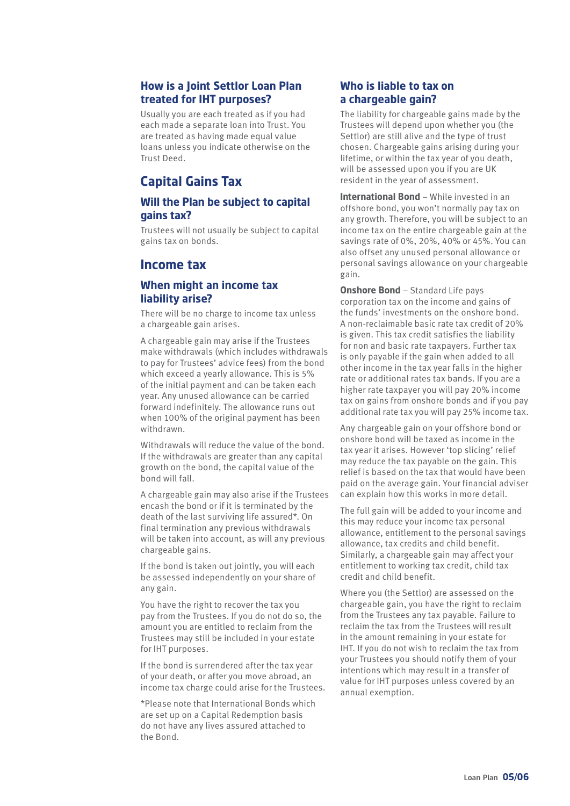#### **How is a Joint Settlor Loan Plan treated for IHT purposes?**

Usually you are each treated as if you had each made a separate loan into Trust. You are treated as having made equal value loans unless you indicate otherwise on the Trust Deed.

# **Capital Gains Tax**

#### **Will the Plan be subject to capital gains tax?**

Trustees will not usually be subject to capital gains tax on bonds.

## **Income tax**

#### **When might an income tax liability arise?**

There will be no charge to income tax unless a chargeable gain arises.

A chargeable gain may arise if the Trustees make withdrawals (which includes withdrawals to pay for Trustees' advice fees) from the bond which exceed a yearly allowance. This is 5% of the initial payment and can be taken each year. Any unused allowance can be carried forward indefinitely. The allowance runs out when 100% of the original payment has been withdrawn.

Withdrawals will reduce the value of the bond. If the withdrawals are greater than any capital growth on the bond, the capital value of the bond will fall.

A chargeable gain may also arise if the Trustees encash the bond or if it is terminated by the death of the last surviving life assured\*. On final termination any previous withdrawals will be taken into account, as will any previous chargeable gains.

If the bond is taken out jointly, you will each be assessed independently on your share of any gain.

You have the right to recover the tax you pay from the Trustees. If you do not do so, the amount you are entitled to reclaim from the Trustees may still be included in your estate for IHT purposes.

If the bond is surrendered after the tax year of your death, or after you move abroad, an income tax charge could arise for the Trustees.

\*Please note that International Bonds which are set up on a Capital Redemption basis do not have any lives assured attached to the Bond.

#### **Who is liable to tax on a chargeable gain?**

The liability for chargeable gains made by the Trustees will depend upon whether you (the Settlor) are still alive and the type of trust chosen. Chargeable gains arising during your lifetime, or within the tax year of you death, will be assessed upon you if you are UK resident in the year of assessment.

**International Bond** – While invested in an offshore bond, you won't normally pay tax on any growth. Therefore, you will be subject to an income tax on the entire chargeable gain at the savings rate of 0%, 20%, 40% or 45%. You can also offset any unused personal allowance or personal savings allowance on your chargeable gain.

**Onshore Bond** – Standard Life pays corporation tax on the income and gains of the funds' investments on the onshore bond. A non-reclaimable basic rate tax credit of 20% is given. This tax credit satisfies the liability for non and basic rate taxpayers. Further tax is only payable if the gain when added to all other income in the tax year falls in the higher rate or additional rates tax bands. If you are a higher rate taxpayer you will pay 20% income tax on gains from onshore bonds and if you pay additional rate tax you will pay 25% income tax.

Any chargeable gain on your offshore bond or onshore bond will be taxed as income in the tax year it arises. However 'top slicing' relief may reduce the tax payable on the gain. This relief is based on the tax that would have been paid on the average gain. Your financial adviser can explain how this works in more detail.

The full gain will be added to your income and this may reduce your income tax personal allowance, entitlement to the personal savings allowance, tax credits and child benefit. Similarly, a chargeable gain may affect your entitlement to working tax credit, child tax credit and child benefit.

Where you (the Settlor) are assessed on the chargeable gain, you have the right to reclaim from the Trustees any tax payable. Failure to reclaim the tax from the Trustees will result in the amount remaining in your estate for IHT. If you do not wish to reclaim the tax from your Trustees you should notify them of your intentions which may result in a transfer of value for IHT purposes unless covered by an annual exemption.